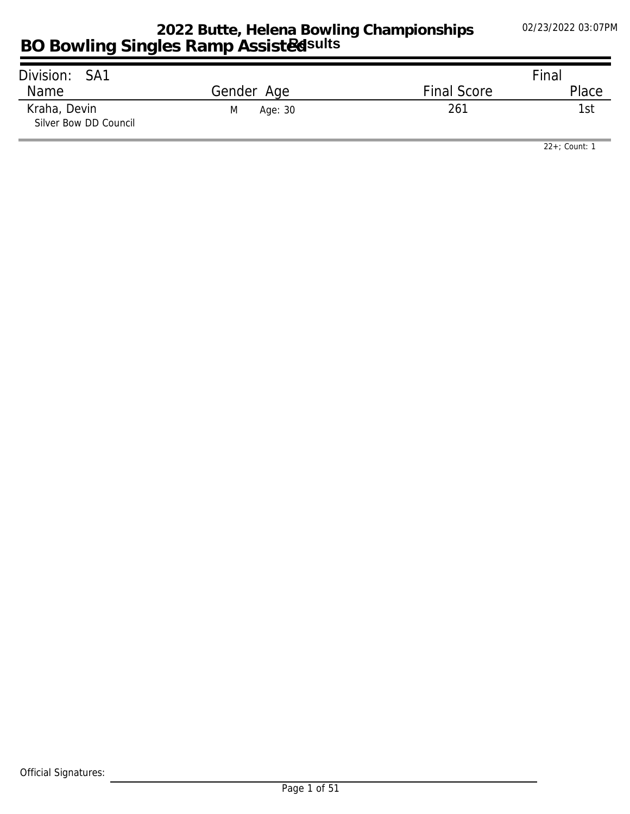| Division: SA1                         |              |                    | Final |
|---------------------------------------|--------------|--------------------|-------|
| Name                                  | Gender Age   | <b>Final Score</b> | Place |
| Kraha, Devin<br>Silver Bow DD Council | Age: 30<br>M | 261                | -lst  |

*22+; Count: 1*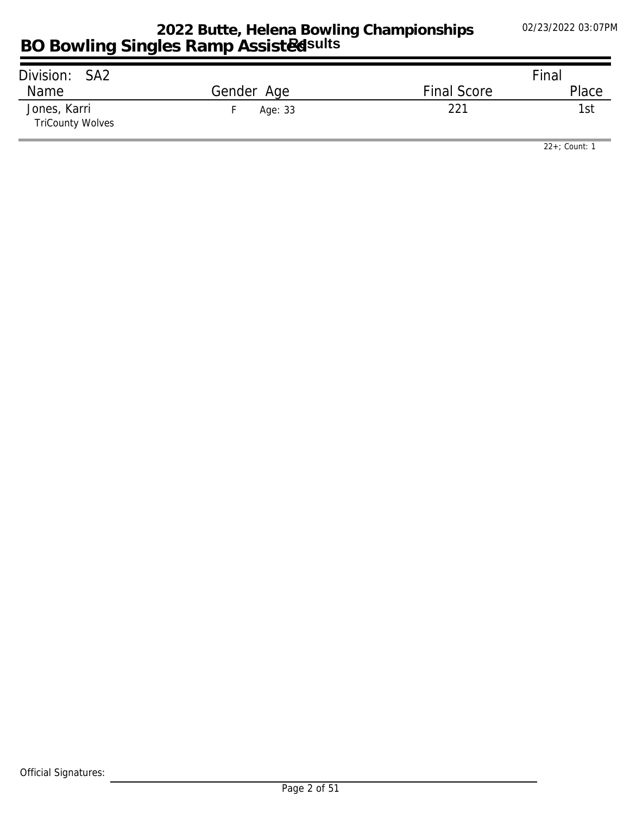| Division: SA2                           |            |                    | Final |
|-----------------------------------------|------------|--------------------|-------|
| Name                                    | Gender Age | <b>Final Score</b> | Place |
| Jones, Karri<br><b>TriCounty Wolves</b> | Age: 33    | 221                | 1st   |

*22+; Count: 1*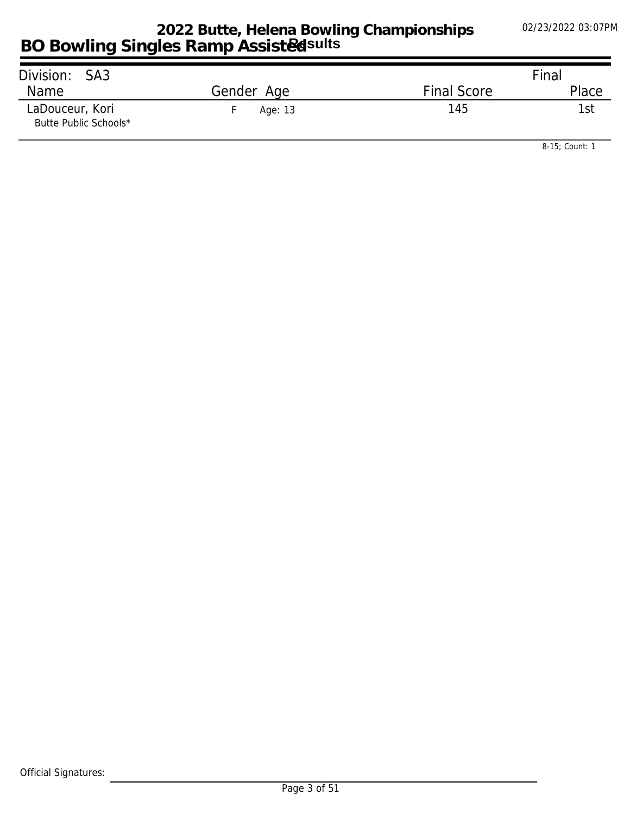| Division: SA3                            |            |                    | Final |
|------------------------------------------|------------|--------------------|-------|
| Name                                     | Gender Age | <b>Final Score</b> | Place |
| LaDouceur, Kori<br>Butte Public Schools* | Age: 13    | 145                | 1st   |

*8-15; Count: 1*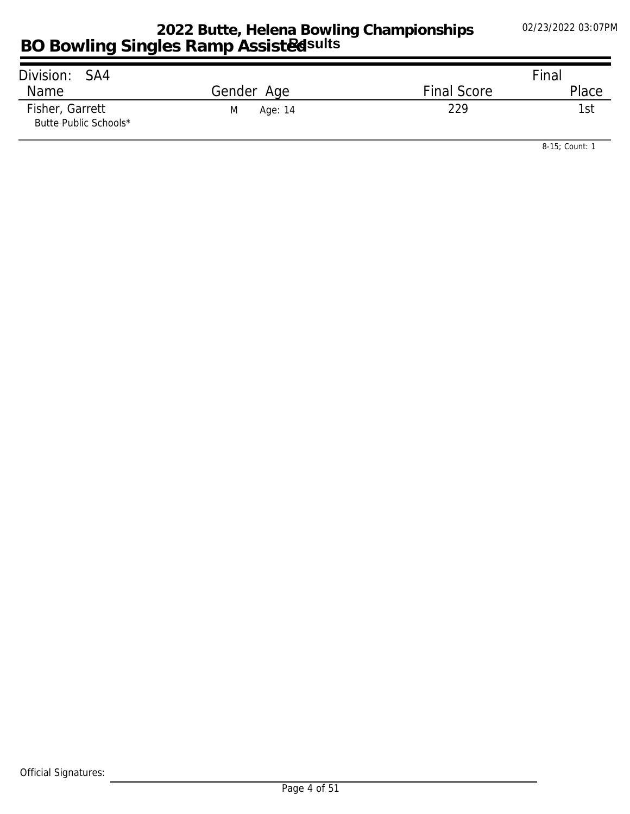| Division: SA4                            |              |                    | Final |
|------------------------------------------|--------------|--------------------|-------|
| Name                                     | Gender Age   | <b>Final Score</b> | Place |
| Fisher, Garrett<br>Butte Public Schools* | Age: 14<br>M | 229                | 1st   |

*8-15; Count: 1*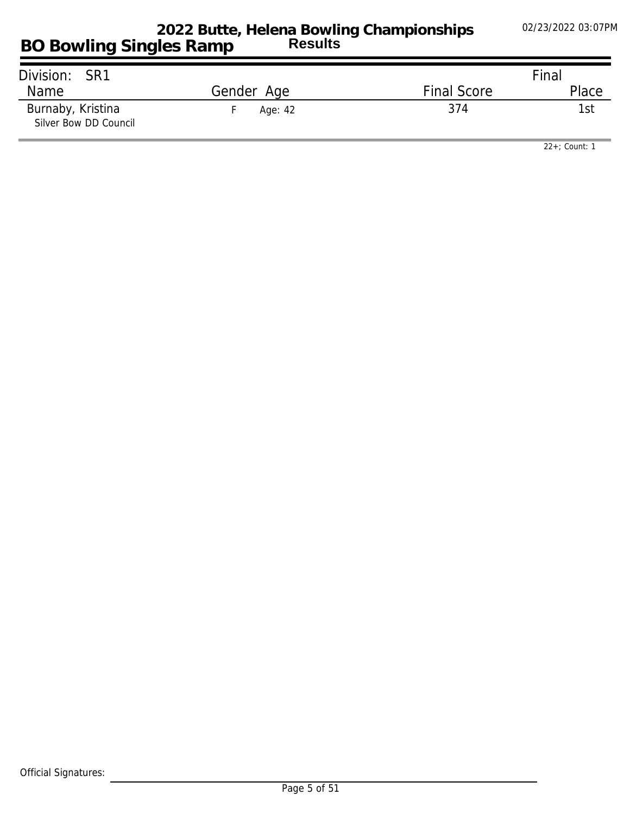| Division: SR1                              |            |                    | Final |
|--------------------------------------------|------------|--------------------|-------|
| Name                                       | Gender Age | <b>Final Score</b> | Place |
| Burnaby, Kristina<br>Silver Bow DD Council | Age: 42    | 374                | 1st   |

*22+; Count: 1*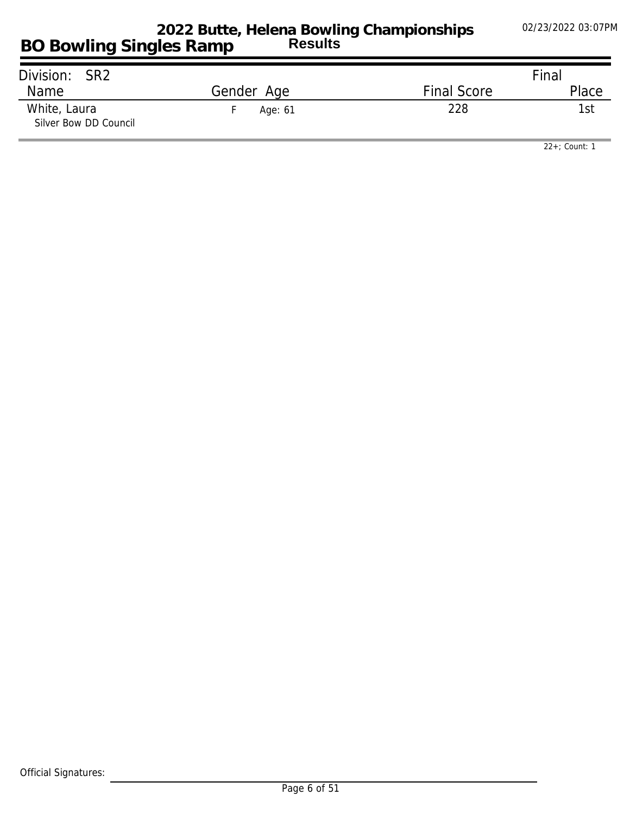| Division: SR2                         |            |                    | Final |
|---------------------------------------|------------|--------------------|-------|
| <b>Name</b>                           | Gender Age | <b>Final Score</b> | Place |
| White, Laura<br>Silver Bow DD Council | Age: 61    | 228                | 'st   |

*22+; Count: 1*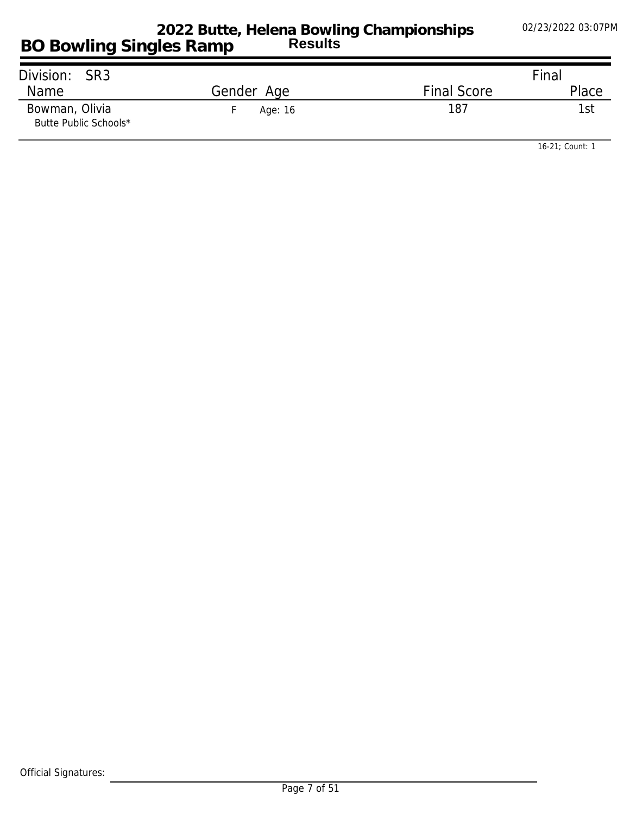| Division: SR3                           |            |                    | Final |
|-----------------------------------------|------------|--------------------|-------|
| Name                                    | Gender Age | <b>Final Score</b> | Place |
| Bowman, Olivia<br>Butte Public Schools* | Age: 16    | 187                | l st  |

*16-21; Count: 1*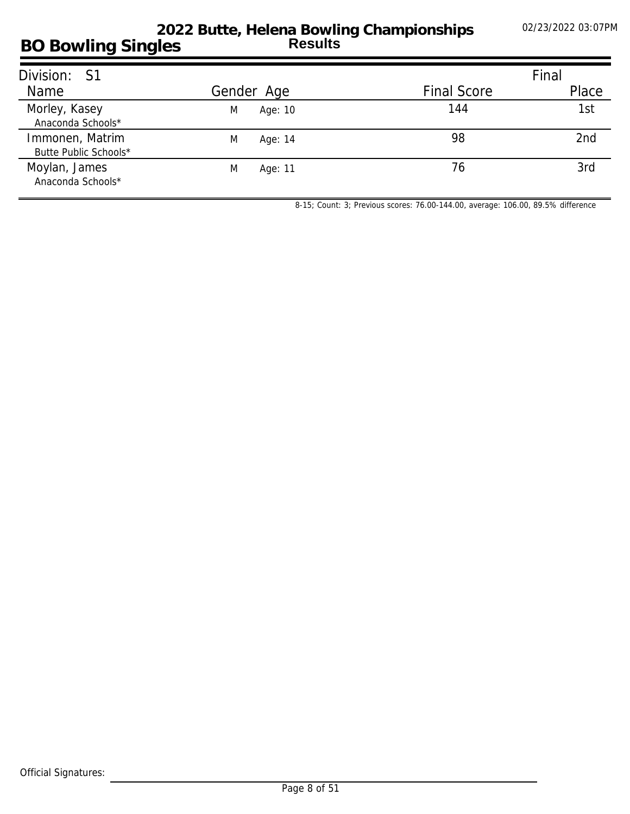#### **BO Bowling Singles 2022 Butte, Helena Bowling Championships Results**

| Division: S1                             |              |                    | Final |
|------------------------------------------|--------------|--------------------|-------|
| Name                                     | Gender Age   | <b>Final Score</b> | Place |
| Morley, Kasey<br>Anaconda Schools*       | M<br>Age: 10 | 144                | 1st   |
| Immonen, Matrim<br>Butte Public Schools* | M<br>Age: 14 | 98                 | 2nd   |
| Moylan, James<br>Anaconda Schools*       | M<br>Age: 11 | 76                 | 3rd   |

*8-15; Count: 3; Previous scores: 76.00-144.00, average: 106.00, 89.5% difference*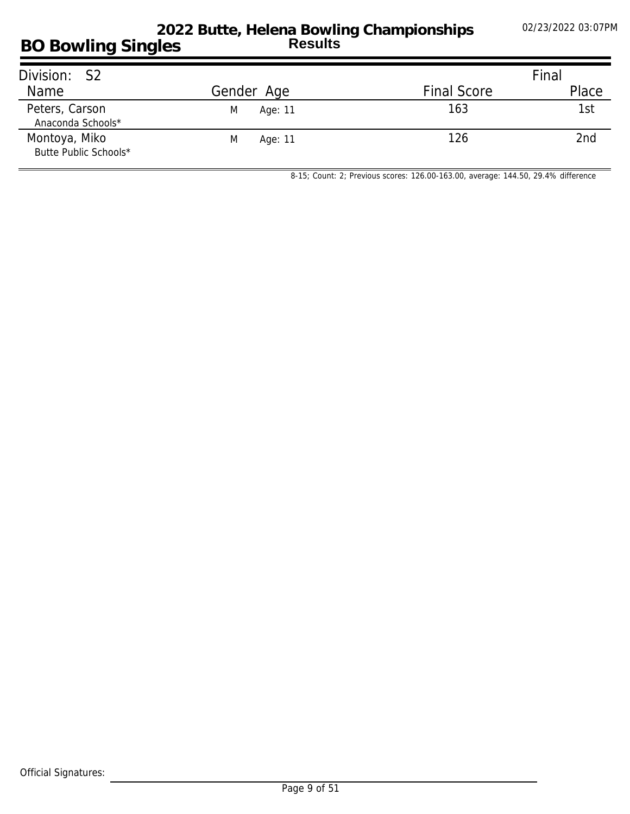#### **BO Bowling Singles 2022 Butte, Helena Bowling Championships Results**

| Division: S2                           |              |                    | Final |
|----------------------------------------|--------------|--------------------|-------|
| Name                                   | Gender Age   | <b>Final Score</b> | Place |
| Peters, Carson<br>Anaconda Schools*    | M<br>Age: 11 | 163                | 1st   |
| Montoya, Miko<br>Butte Public Schools* | M<br>Age: 11 | 126                | 2nd   |

*8-15; Count: 2; Previous scores: 126.00-163.00, average: 144.50, 29.4% difference*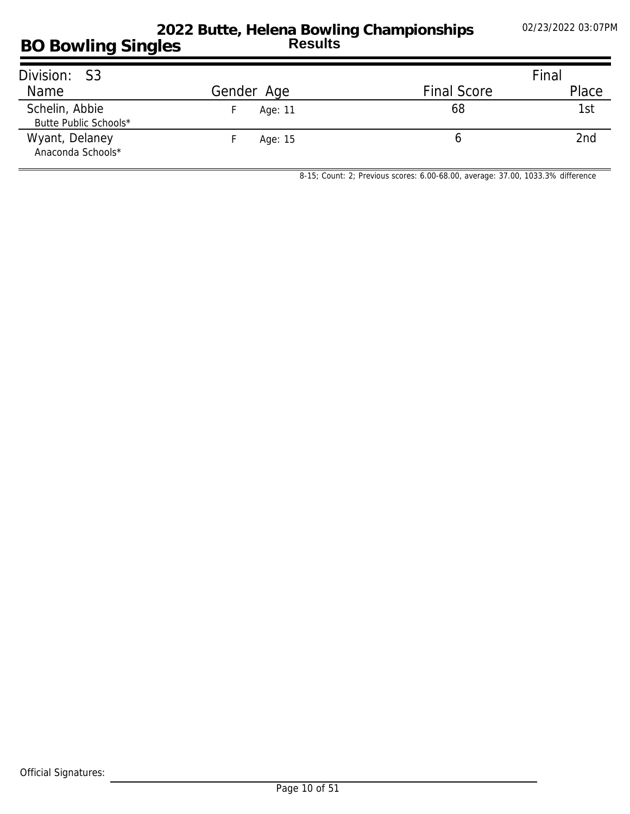| Division: S3                            |            |                    | Final |
|-----------------------------------------|------------|--------------------|-------|
| <b>Name</b>                             | Gender Age | <b>Final Score</b> | Place |
| Schelin, Abbie<br>Butte Public Schools* | Age: 11    | 68                 | 1st   |
| Wyant, Delaney<br>Anaconda Schools*     | Age: 15    |                    | 2nd   |

*8-15; Count: 2; Previous scores: 6.00-68.00, average: 37.00, 1033.3% difference*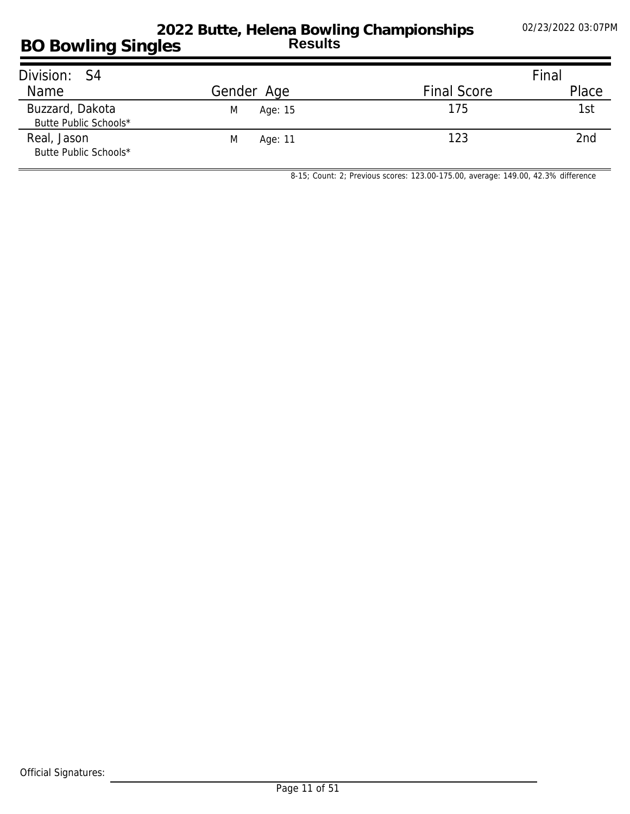## **BO Bowling Singles 2022 Butte, Helena Bowling Championships Results**

| Division: S4                             |              |                    | Final |
|------------------------------------------|--------------|--------------------|-------|
| Name                                     | Gender Age   | <b>Final Score</b> | Place |
| Buzzard, Dakota<br>Butte Public Schools* | Age: 15<br>M | 175                | 1st   |
| Real, Jason<br>Butte Public Schools*     | Age: 11<br>M | 123                | 2nd   |

*8-15; Count: 2; Previous scores: 123.00-175.00, average: 149.00, 42.3% difference*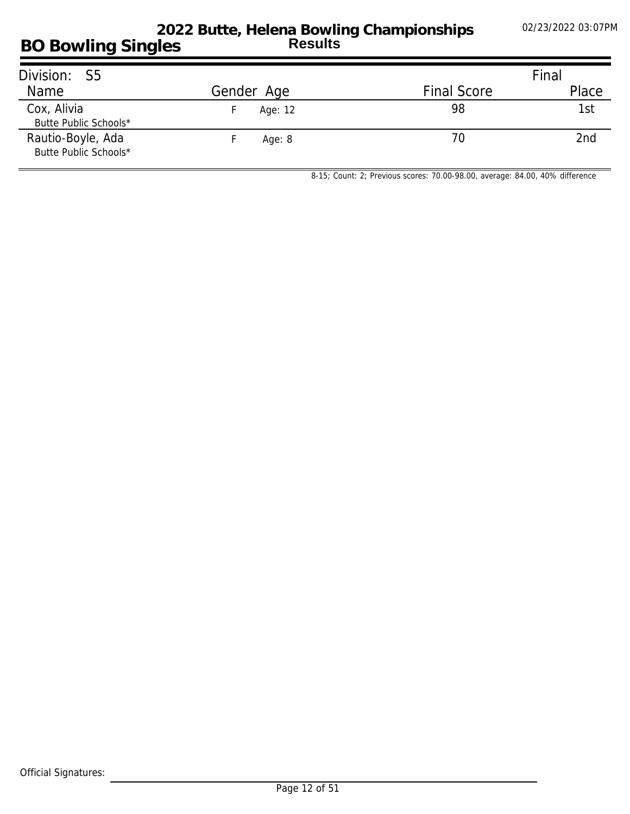### **BO Bowling Singles 2022 Butte, Helena Bowling Championships Results**

| Division: S5                               |            |                    | Final |
|--------------------------------------------|------------|--------------------|-------|
| Name                                       | Gender Age | <b>Final Score</b> | Place |
| Cox, Alivia<br>Butte Public Schools*       | Age: 12    | 98                 | 1st   |
| Rautio-Boyle, Ada<br>Butte Public Schools* | Age: $8$   | 70                 | 2nd   |

*8-15; Count: 2; Previous scores: 70.00-98.00, average: 84.00, 40% difference*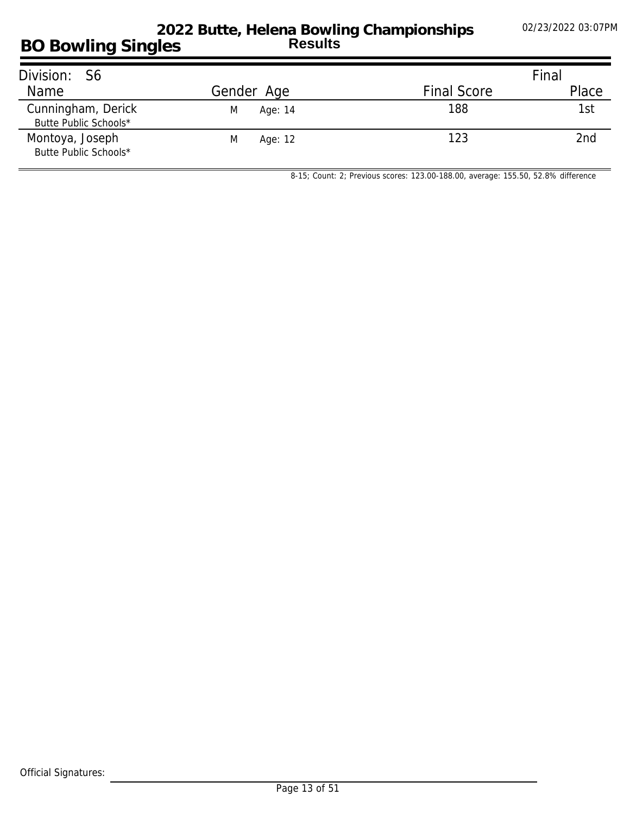### **BO Bowling Singles 2022 Butte, Helena Bowling Championships Results**

| Division: S6                                |              |                    | Final |
|---------------------------------------------|--------------|--------------------|-------|
| Name                                        | Gender Age   | <b>Final Score</b> | Place |
| Cunningham, Derick<br>Butte Public Schools* | Age: 14<br>M | 188                | 1st   |
| Montoya, Joseph<br>Butte Public Schools*    | M<br>Age: 12 | 123                | 2nd   |

*8-15; Count: 2; Previous scores: 123.00-188.00, average: 155.50, 52.8% difference*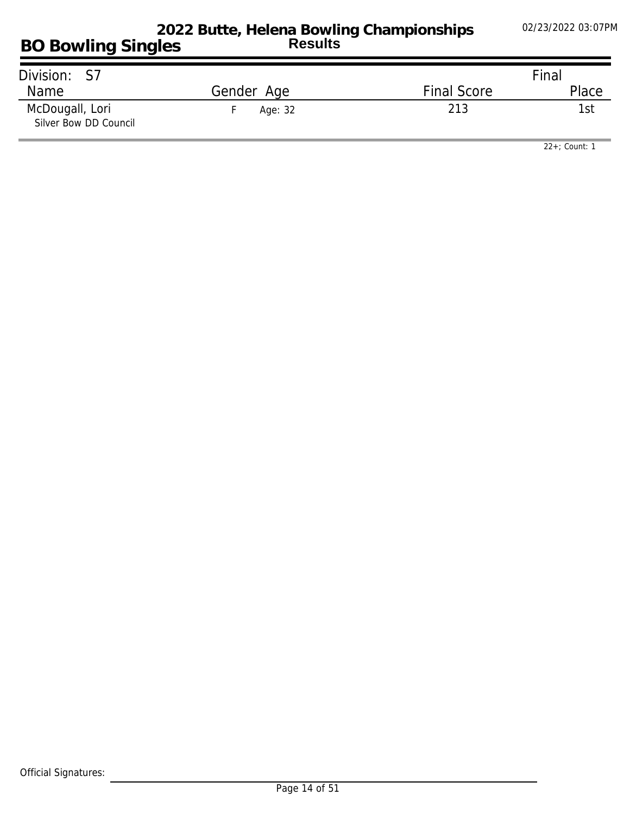| Division:<br>. S7                        |            |                    | Final |
|------------------------------------------|------------|--------------------|-------|
| <b>Name</b>                              | Gender Age | <b>Final Score</b> | Place |
| McDougall, Lori<br>Silver Bow DD Council | Age: 32    | 213                |       |

*22+; Count: 1*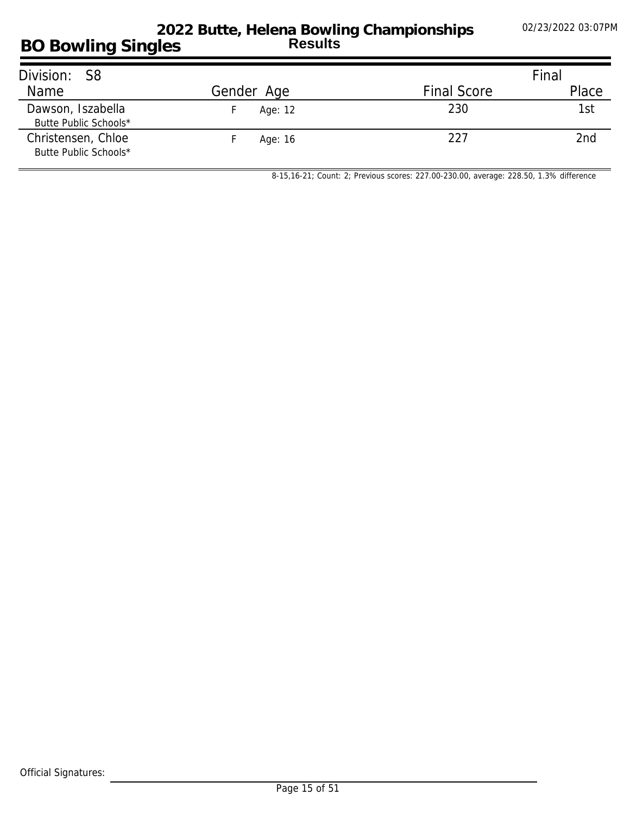| Division: S8                                |            |                    | Final |
|---------------------------------------------|------------|--------------------|-------|
| Name                                        | Gender Age | <b>Final Score</b> | Place |
| Dawson, Iszabella<br>Butte Public Schools*  | Age: 12    | 230                | 1st   |
| Christensen, Chloe<br>Butte Public Schools* | Age: 16    | 227                | 2nd   |

*8-15,16-21; Count: 2; Previous scores: 227.00-230.00, average: 228.50, 1.3% difference*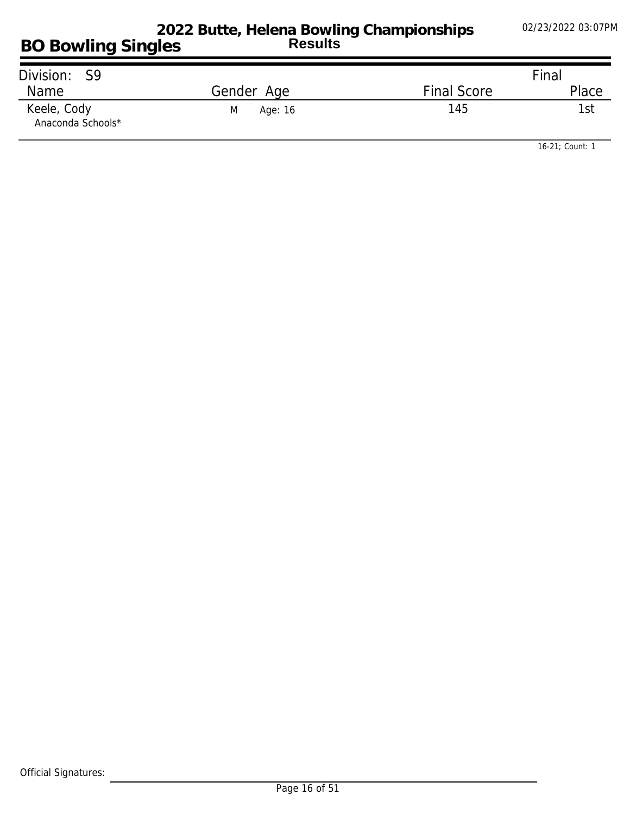| Division: S9                     |              |                    | Final           |
|----------------------------------|--------------|--------------------|-----------------|
| Name                             | Gender Age   | <b>Final Score</b> | Place           |
| Keele, Cody<br>Anaconda Schools* | M<br>Age: 16 | 145                | <sup>1</sup> st |

*16-21; Count: 1*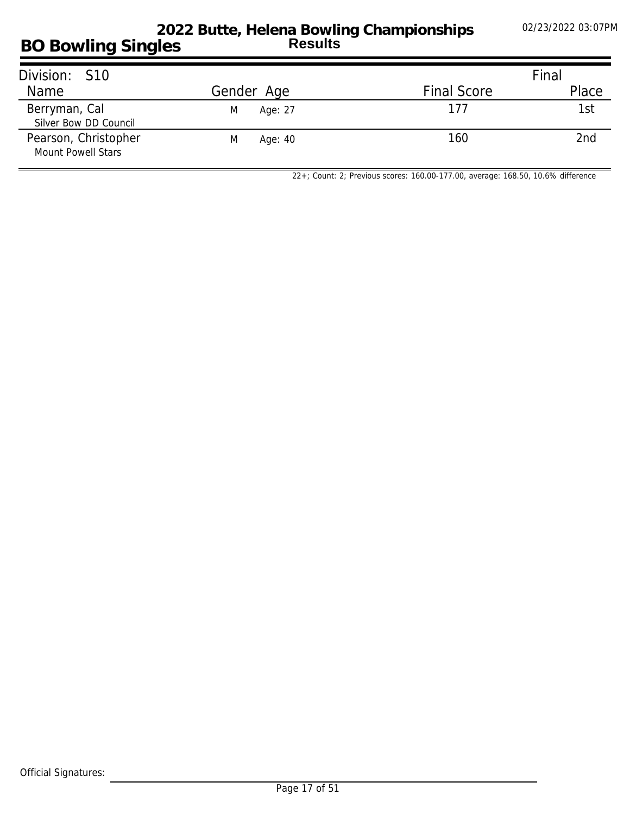| Division: S10                                     |              |                    | Final |
|---------------------------------------------------|--------------|--------------------|-------|
| Name                                              | Gender Age   | <b>Final Score</b> | Place |
| Berryman, Cal<br>Silver Bow DD Council            | M<br>Age: 27 | 177                | 1st   |
| Pearson, Christopher<br><b>Mount Powell Stars</b> | M<br>Age: 40 | 160                | 2nd   |

*22+; Count: 2; Previous scores: 160.00-177.00, average: 168.50, 10.6% difference*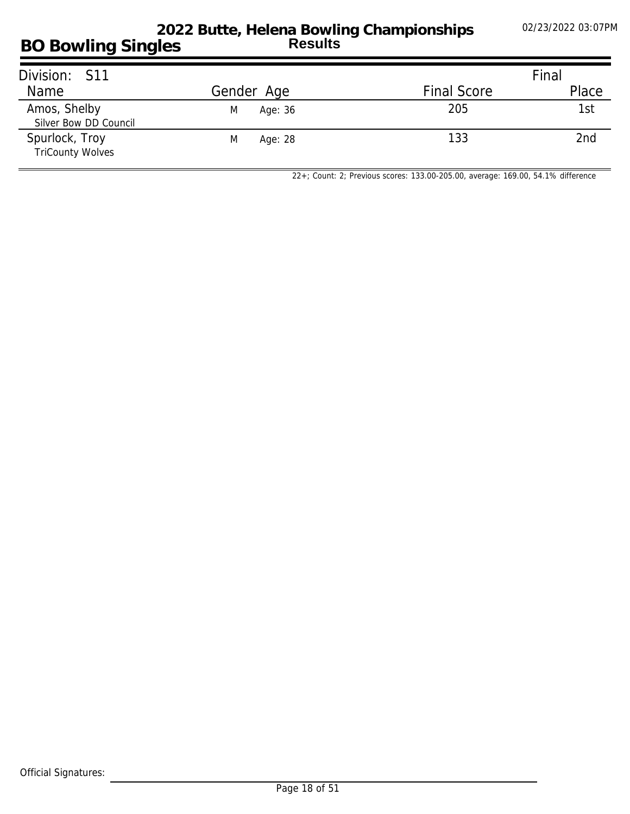## **BO Bowling Singles 2022 Butte, Helena Bowling Championships Results**

| Division: S11                             |              |                    | Final |
|-------------------------------------------|--------------|--------------------|-------|
| Name                                      | Gender Age   | <b>Final Score</b> | Place |
| Amos, Shelby<br>Silver Bow DD Council     | Age: 36<br>M | 205                | 1st   |
| Spurlock, Troy<br><b>TriCounty Wolves</b> | M<br>Age: 28 | 133                | 2nd   |

*22+; Count: 2; Previous scores: 133.00-205.00, average: 169.00, 54.1% difference*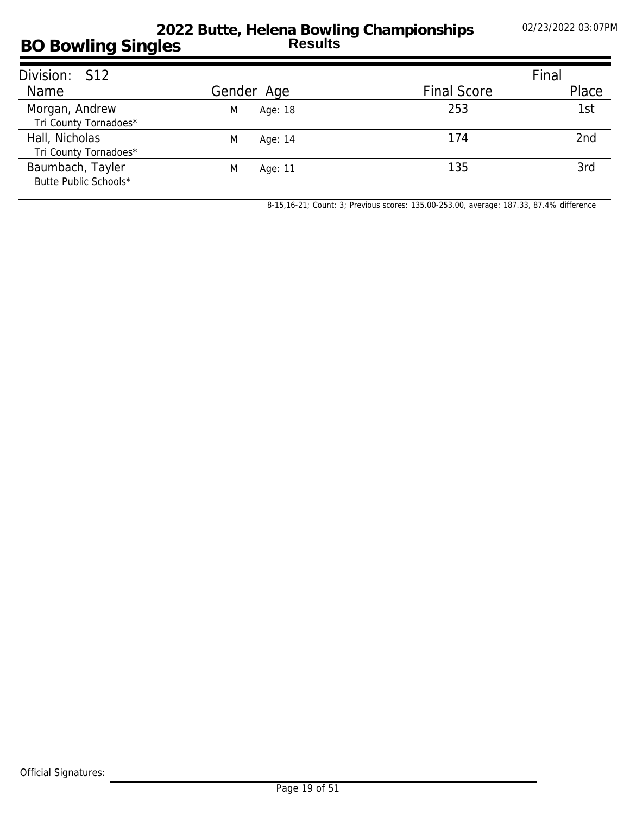#### **BO Bowling Singles 2022 Butte, Helena Bowling Championships Results**

| Division: S12                             |              |                    | Final |
|-------------------------------------------|--------------|--------------------|-------|
| Name                                      | Gender Age   | <b>Final Score</b> | Place |
| Morgan, Andrew<br>Tri County Tornadoes*   | Age: 18<br>M | 253                | 1st   |
| Hall, Nicholas<br>Tri County Tornadoes*   | M<br>Age: 14 | 174                | 2nd   |
| Baumbach, Tayler<br>Butte Public Schools* | M<br>Age: 11 | 135                | 3rd   |

*8-15,16-21; Count: 3; Previous scores: 135.00-253.00, average: 187.33, 87.4% difference*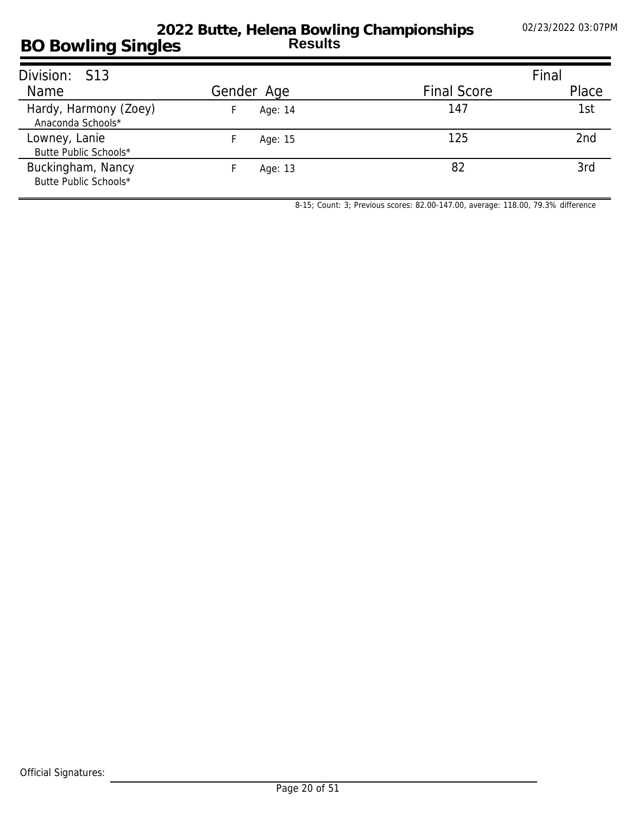#### **BO Bowling Singles 2022 Butte, Helena Bowling Championships Results**

| Division: S13                              |            |                    | Final |
|--------------------------------------------|------------|--------------------|-------|
| Name                                       | Gender Age | <b>Final Score</b> | Place |
| Hardy, Harmony (Zoey)<br>Anaconda Schools* | Age: 14    | 147                | 1st   |
| Lowney, Lanie<br>Butte Public Schools*     | Age: 15    | 125                | 2nd   |
| Buckingham, Nancy<br>Butte Public Schools* | Age: 13    | 82                 | 3rd   |

*8-15; Count: 3; Previous scores: 82.00-147.00, average: 118.00, 79.3% difference*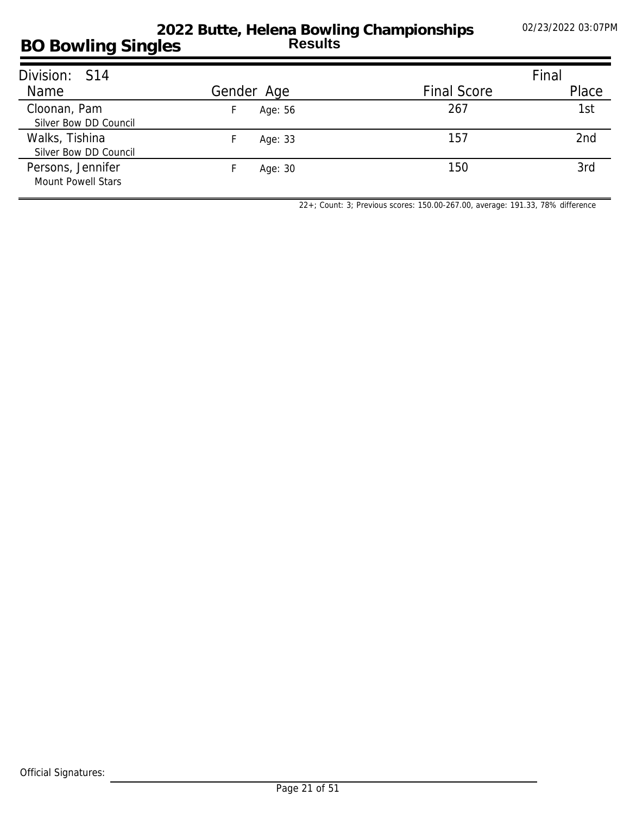#### **BO Bowling Singles 2022 Butte, Helena Bowling Championships Results**

| Division: S14                                  |            |                    | Final           |
|------------------------------------------------|------------|--------------------|-----------------|
| Name                                           | Gender Age | <b>Final Score</b> | Place           |
| Cloonan, Pam<br>Silver Bow DD Council          | Age: 56    | 267                | 1st             |
| Walks, Tishina<br>Silver Bow DD Council        | Age: 33    | 157                | 2 <sub>nd</sub> |
| Persons, Jennifer<br><b>Mount Powell Stars</b> | Age: 30    | 150                | 3rd             |

*22+; Count: 3; Previous scores: 150.00-267.00, average: 191.33, 78% difference*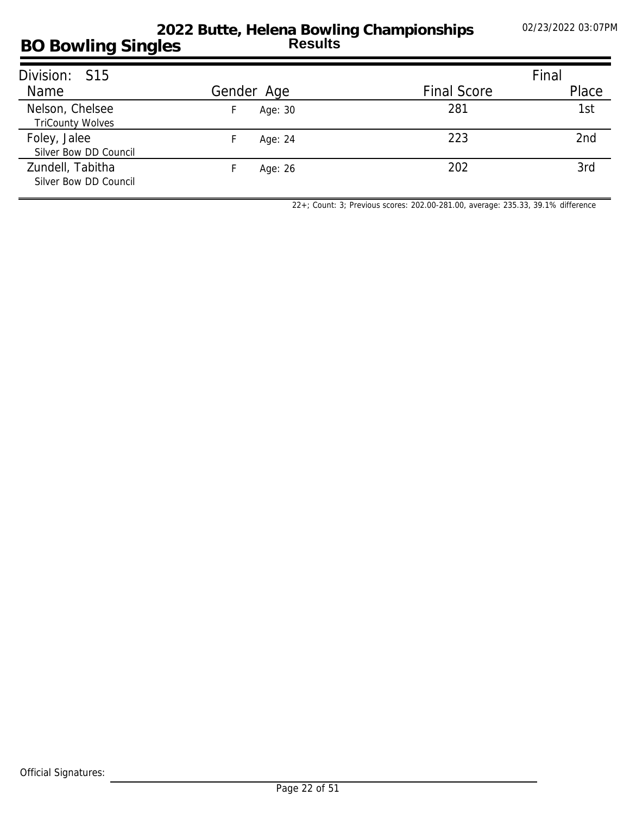#### **BO Bowling Singles 2022 Butte, Helena Bowling Championships Results**

| Division: S15                              |            |                    | Final |
|--------------------------------------------|------------|--------------------|-------|
| Name                                       | Gender Age | <b>Final Score</b> | Place |
| Nelson, Chelsee<br><b>TriCounty Wolves</b> | Age: 30    | 281                | 1st   |
| Foley, Jalee<br>Silver Bow DD Council      | Age: 24    | 223                | 2nd   |
| Zundell, Tabitha<br>Silver Bow DD Council  | Age: 26    | 202                | 3rd   |

*22+; Count: 3; Previous scores: 202.00-281.00, average: 235.33, 39.1% difference*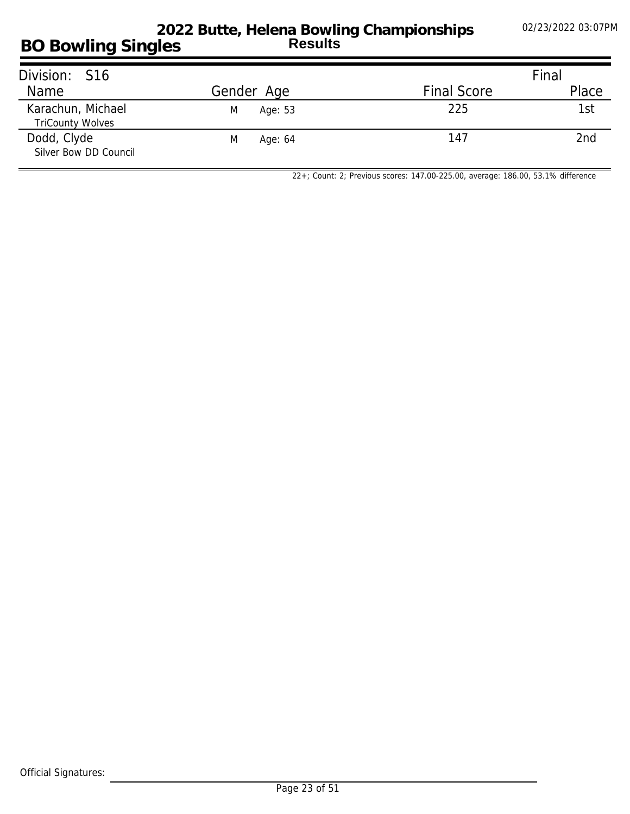## **BO Bowling Singles 2022 Butte, Helena Bowling Championships Results**

| Division: S16                                |              |                    | Final |
|----------------------------------------------|--------------|--------------------|-------|
| Name                                         | Gender Age   | <b>Final Score</b> | Place |
| Karachun, Michael<br><b>TriCounty Wolves</b> | M<br>Age: 53 | 225                | 1st   |
| Dodd, Clyde<br>Silver Bow DD Council         | M<br>Age: 64 | 147                | 2nd   |

*22+; Count: 2; Previous scores: 147.00-225.00, average: 186.00, 53.1% difference*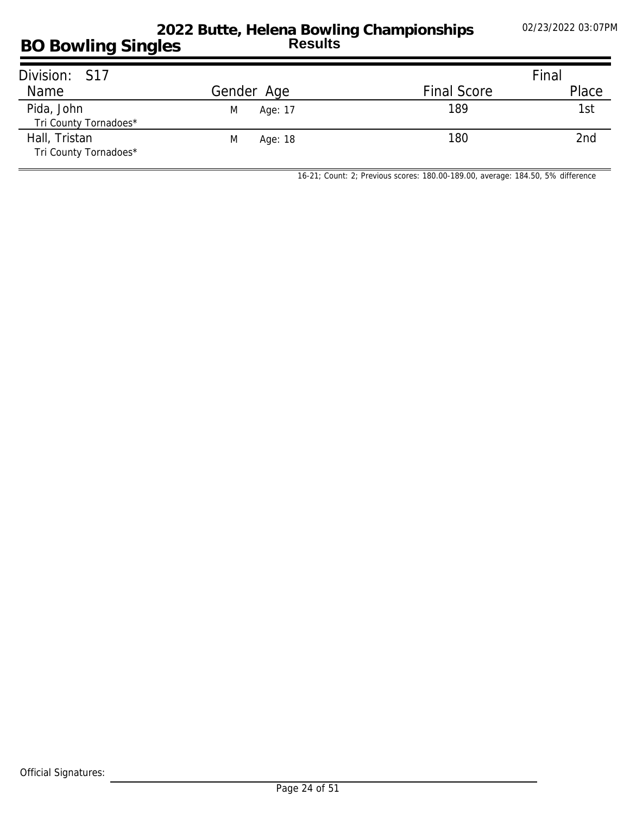### **BO Bowling Singles 2022 Butte, Helena Bowling Championships Results**

| Division: S17                          |              |                    | Final           |
|----------------------------------------|--------------|--------------------|-----------------|
| Name                                   | Gender Age   | <b>Final Score</b> | Place           |
| Pida, John<br>Tri County Tornadoes*    | Age: 17<br>M | 189                | 1st             |
| Hall, Tristan<br>Tri County Tornadoes* | Age: 18<br>M | 180                | 2 <sub>nd</sub> |

*16-21; Count: 2; Previous scores: 180.00-189.00, average: 184.50, 5% difference*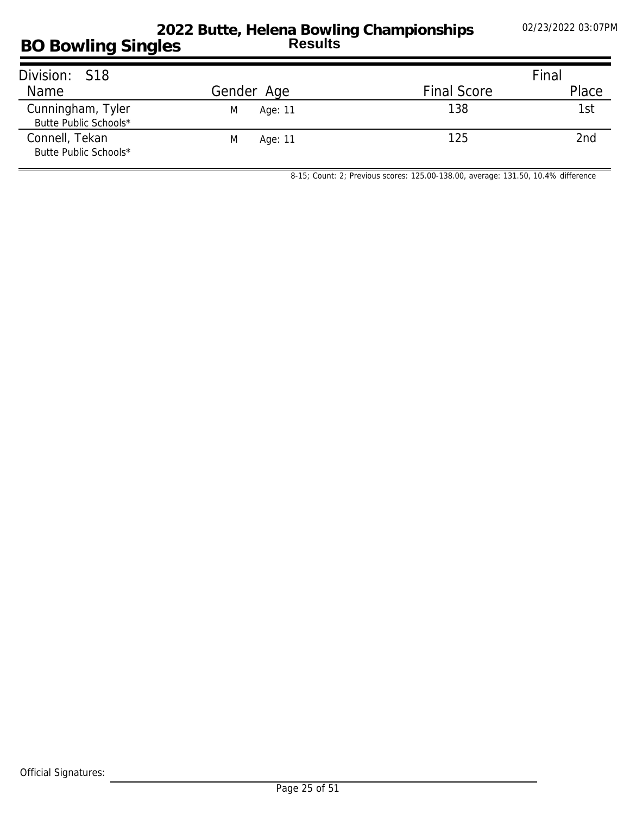### **BO Bowling Singles 2022 Butte, Helena Bowling Championships Results**

| Division: S18                              |              |                    | Final           |
|--------------------------------------------|--------------|--------------------|-----------------|
| Name                                       | Gender Age   | <b>Final Score</b> | Place           |
| Cunningham, Tyler<br>Butte Public Schools* | M<br>Age: 11 | 138                | 1st             |
| Connell, Tekan<br>Butte Public Schools*    | M<br>Age: 11 | 125                | 2 <sub>nd</sub> |

*8-15; Count: 2; Previous scores: 125.00-138.00, average: 131.50, 10.4% difference*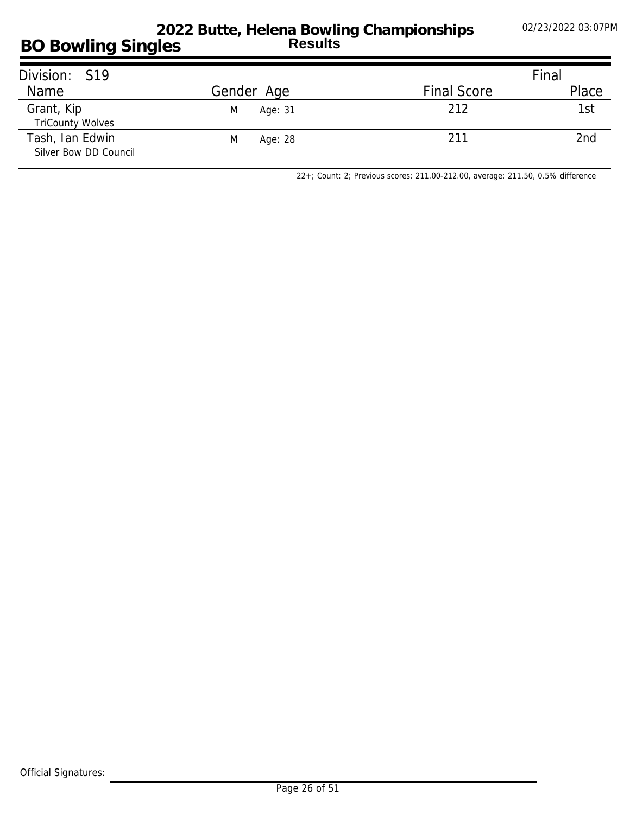| Division: S19                            |              |                    | Final |
|------------------------------------------|--------------|--------------------|-------|
| Name                                     | Gender Age   | <b>Final Score</b> | Place |
| Grant, Kip<br><b>TriCounty Wolves</b>    | Age: 31<br>M | 212                | 1st   |
| Tash, Ian Edwin<br>Silver Bow DD Council | M<br>Age: 28 | 211                | 2nd   |

*22+; Count: 2; Previous scores: 211.00-212.00, average: 211.50, 0.5% difference*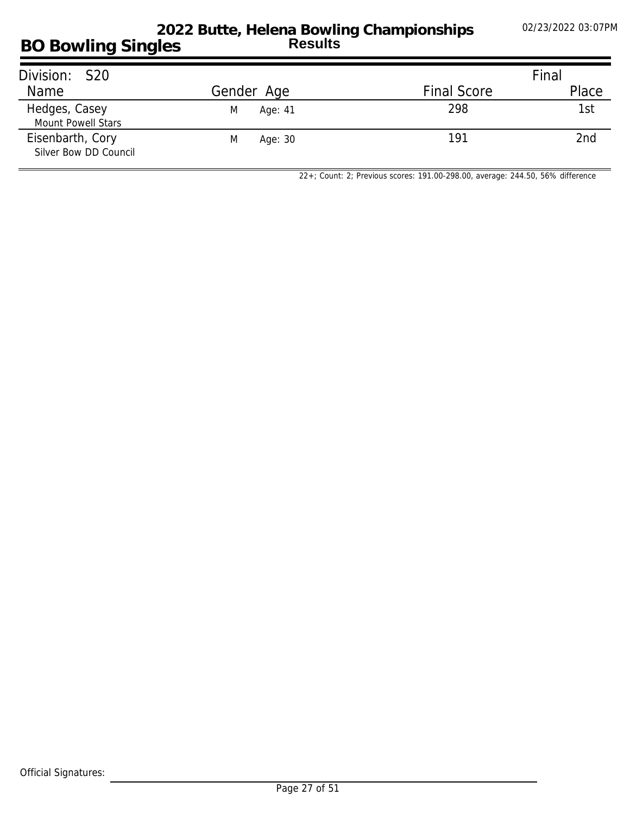| Division: S20                             |              |                    | Final |
|-------------------------------------------|--------------|--------------------|-------|
| Name                                      | Gender Age   | <b>Final Score</b> | Place |
| Hedges, Casey<br>Mount Powell Stars       | M<br>Age: 41 | 298                | 1st   |
| Eisenbarth, Cory<br>Silver Bow DD Council | M<br>Age: 30 | 191                | 2nd   |

*22+; Count: 2; Previous scores: 191.00-298.00, average: 244.50, 56% difference*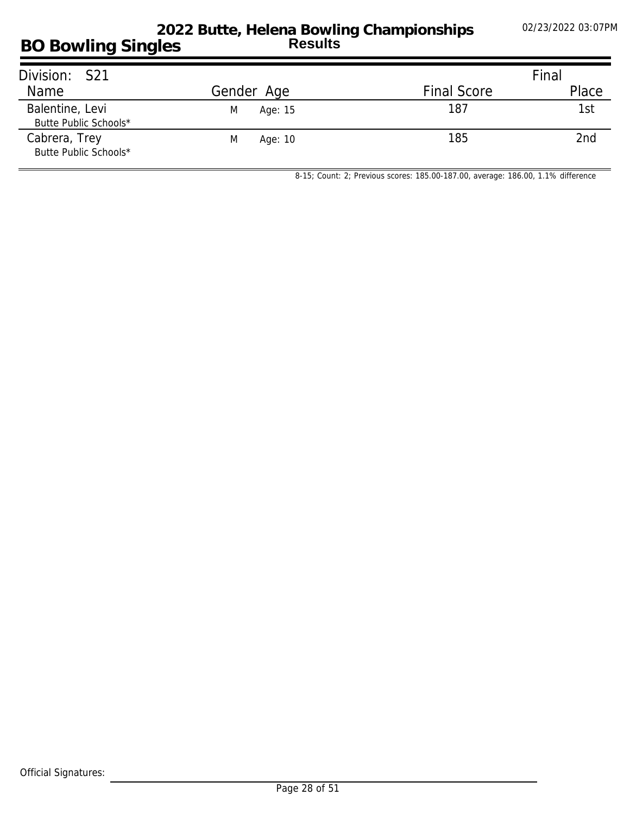### **BO Bowling Singles 2022 Butte, Helena Bowling Championships Results**

| Division: S21                            |              |                    | Final |
|------------------------------------------|--------------|--------------------|-------|
| Name                                     | Gender Age   | <b>Final Score</b> | Place |
| Balentine, Levi<br>Butte Public Schools* | M<br>Age: 15 | 187                | 1st   |
| Cabrera, Trey<br>Butte Public Schools*   | M<br>Age: 10 | 185                | 2nd   |

*8-15; Count: 2; Previous scores: 185.00-187.00, average: 186.00, 1.1% difference*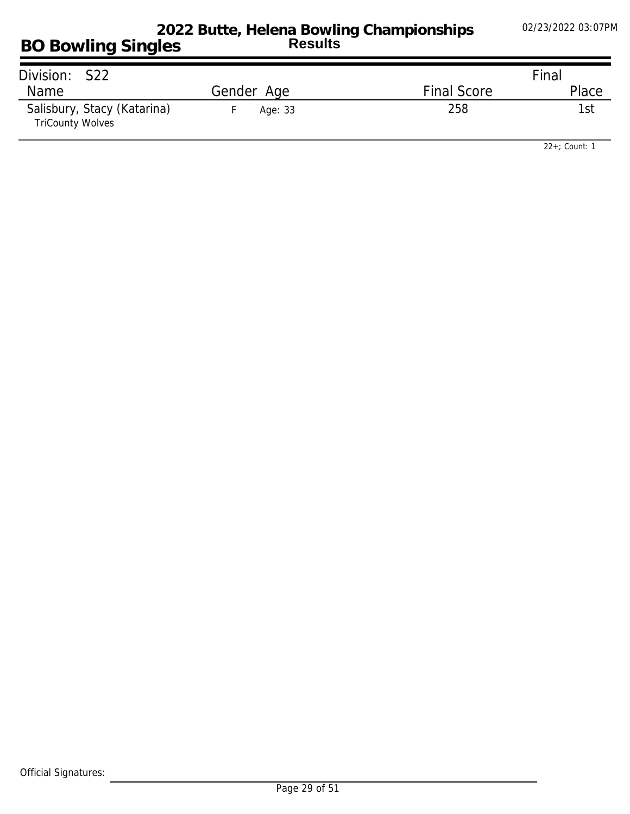| Division: S22                                          |            |                    | Final |
|--------------------------------------------------------|------------|--------------------|-------|
| <b>Name</b>                                            | Gender Age | <b>Final Score</b> | Place |
| Salisbury, Stacy (Katarina)<br><b>TriCounty Wolves</b> | Age: 33    | 258                | 1st   |

*22+; Count: 1*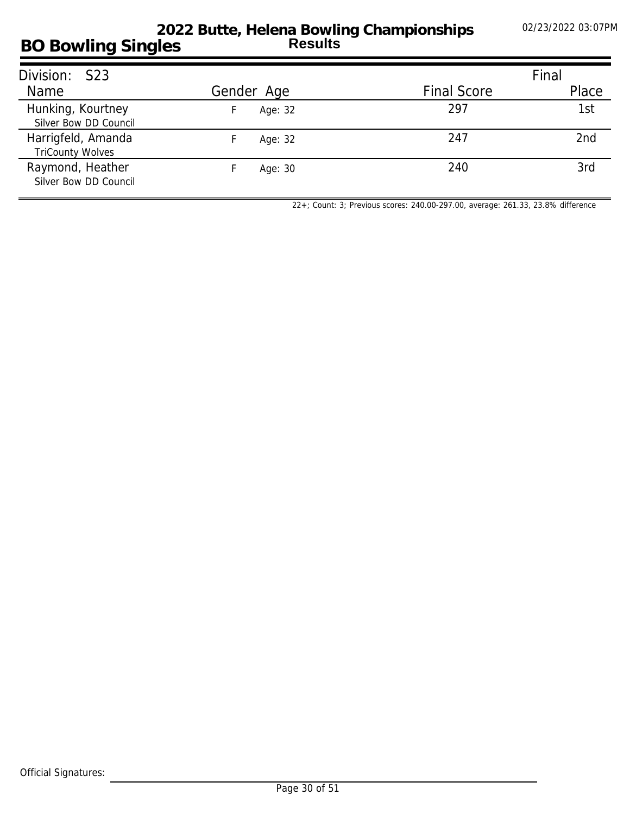#### **BO Bowling Singles 2022 Butte, Helena Bowling Championships Results**

| Division: S23                                 |            |                    | Final |
|-----------------------------------------------|------------|--------------------|-------|
| Name                                          | Gender Age | <b>Final Score</b> | Place |
| Hunking, Kourtney<br>Silver Bow DD Council    | Age: 32    | 297                | 1st   |
| Harrigfeld, Amanda<br><b>TriCounty Wolves</b> | Age: 32    | 247                | 2nd   |
| Raymond, Heather<br>Silver Bow DD Council     | Age: 30    | 240                | 3rd   |

*22+; Count: 3; Previous scores: 240.00-297.00, average: 261.33, 23.8% difference*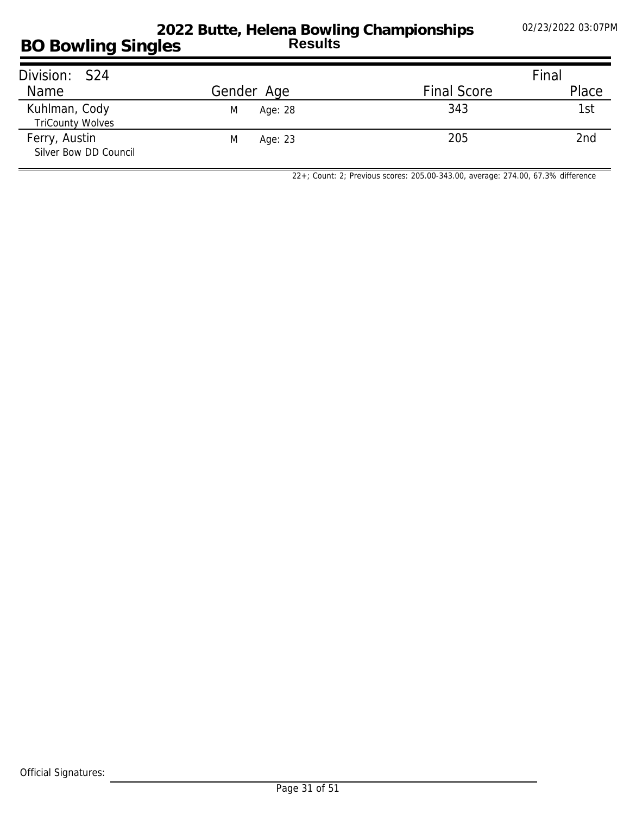| Division: S24                            |              |                    | Final           |
|------------------------------------------|--------------|--------------------|-----------------|
| Name                                     | Gender Age   | <b>Final Score</b> | Place           |
| Kuhlman, Cody<br><b>TriCounty Wolves</b> | M<br>Age: 28 | 343                | 1st             |
| Ferry, Austin<br>Silver Bow DD Council   | M<br>Age: 23 | 205                | 2 <sub>nd</sub> |

*22+; Count: 2; Previous scores: 205.00-343.00, average: 274.00, 67.3% difference*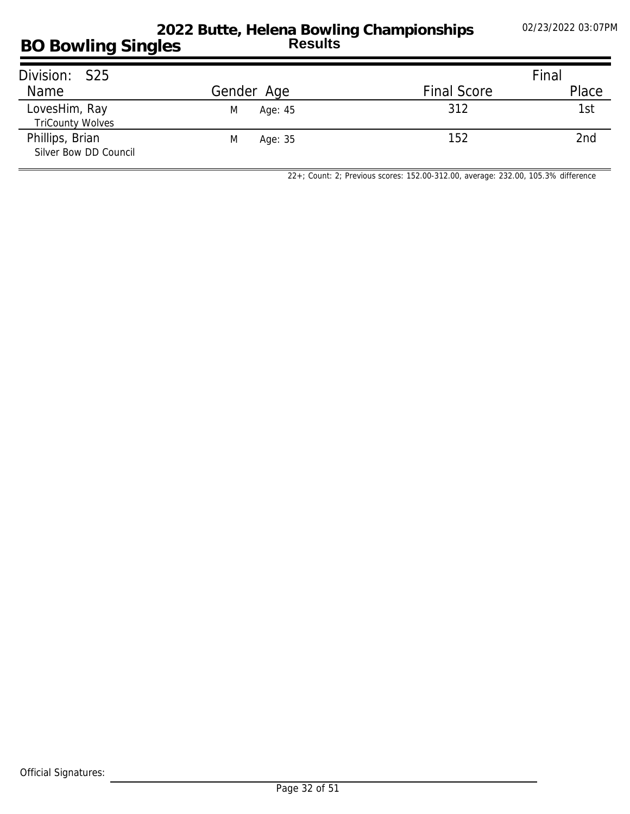| Division: S25                            |              |                    | Final |
|------------------------------------------|--------------|--------------------|-------|
| Name                                     | Gender Age   | <b>Final Score</b> | Place |
| LovesHim, Ray<br><b>TriCounty Wolves</b> | M<br>Age: 45 | 312                | 1st   |
| Phillips, Brian<br>Silver Bow DD Council | Age: 35<br>M | 152                | 2nd   |

*22+; Count: 2; Previous scores: 152.00-312.00, average: 232.00, 105.3% difference*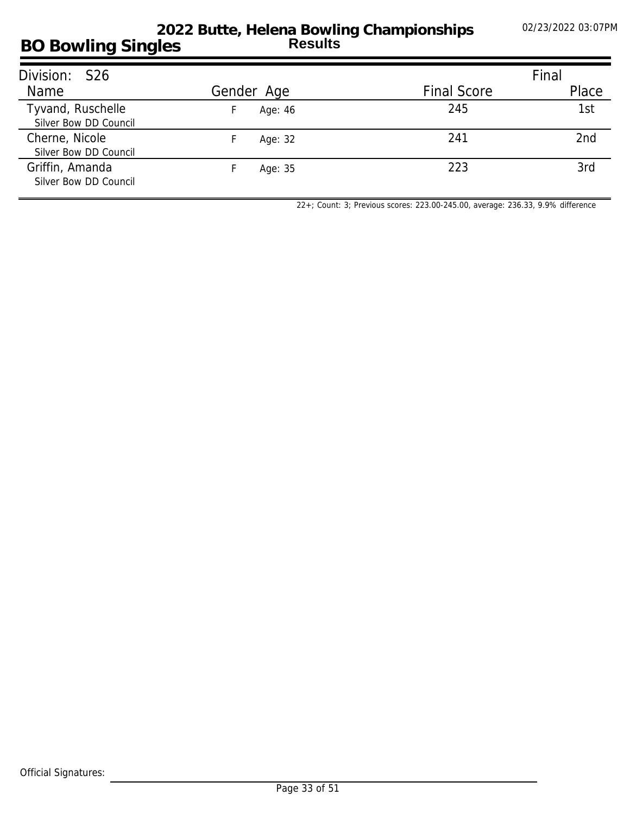#### **BO Bowling Singles 2022 Butte, Helena Bowling Championships Results**

| Division: S26                              |            |                    | Final |
|--------------------------------------------|------------|--------------------|-------|
| Name                                       | Gender Age | <b>Final Score</b> | Place |
| Tyvand, Ruschelle<br>Silver Bow DD Council | Age: 46    | 245                | 1st   |
| Cherne, Nicole<br>Silver Bow DD Council    | Age: 32    | 241                | 2nd   |
| Griffin, Amanda<br>Silver Bow DD Council   | Age: 35    | 223                | 3rd   |

*22+; Count: 3; Previous scores: 223.00-245.00, average: 236.33, 9.9% difference*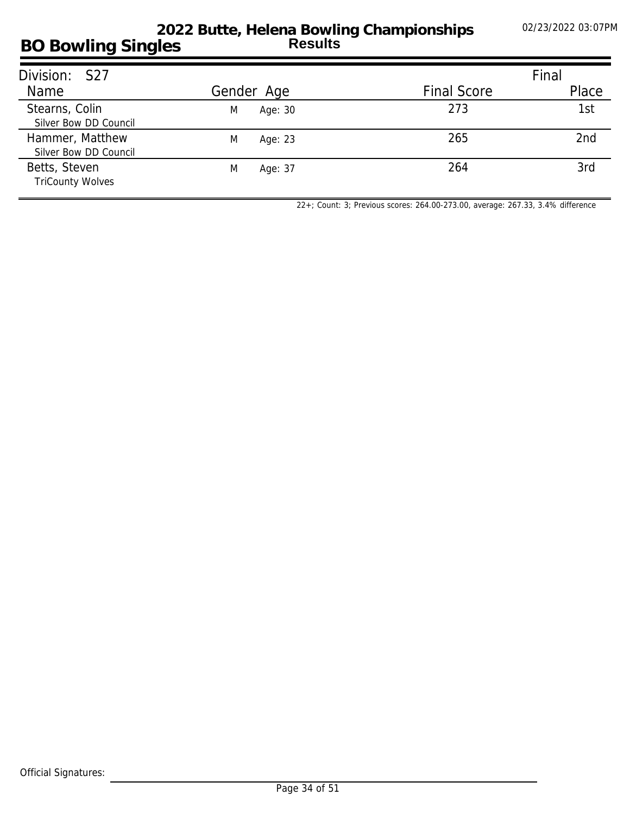#### **BO Bowling Singles 2022 Butte, Helena Bowling Championships Results**

| Division: S27                            |              |                    | Final |
|------------------------------------------|--------------|--------------------|-------|
| Name                                     | Gender Age   | <b>Final Score</b> | Place |
| Stearns, Colin<br>Silver Bow DD Council  | M<br>Age: 30 | 273                | 1st   |
| Hammer, Matthew<br>Silver Bow DD Council | M<br>Age: 23 | 265                | 2nd   |
| Betts, Steven<br><b>TriCounty Wolves</b> | M<br>Age: 37 | 264                | 3rd   |

*22+; Count: 3; Previous scores: 264.00-273.00, average: 267.33, 3.4% difference*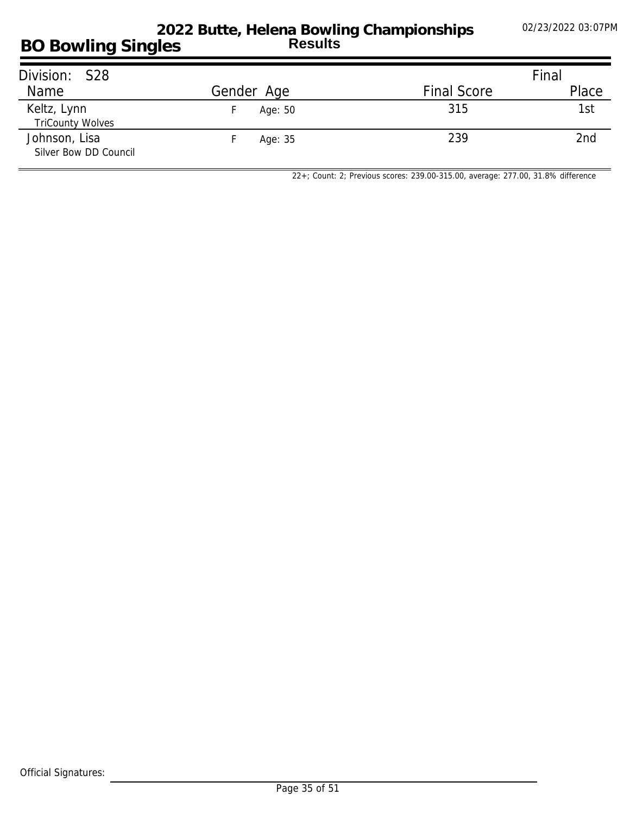#### **BO Bowling Singles 2022 Butte, Helena Bowling Championships Results**

| Division: S28                          |                     |                    | Final |
|----------------------------------------|---------------------|--------------------|-------|
| Name                                   | Gender Age          | <b>Final Score</b> | Place |
| Keltz, Lynn<br><b>TriCounty Wolves</b> | Age: 50<br><b>F</b> | 315                | 1st   |
| Johnson, Lisa<br>Silver Bow DD Council | Age: 35             | 239                | 2nd   |

*22+; Count: 2; Previous scores: 239.00-315.00, average: 277.00, 31.8% difference*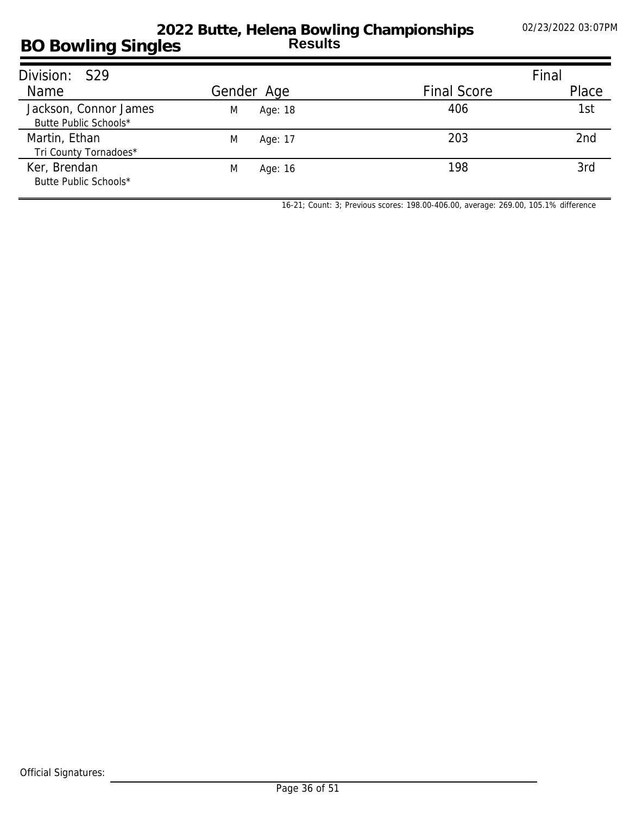| Division: S29                                  |              |                    | Final           |
|------------------------------------------------|--------------|--------------------|-----------------|
| Name                                           | Gender Age   | <b>Final Score</b> | Place           |
| Jackson, Connor James<br>Butte Public Schools* | Age: 18<br>M | 406                | 1st             |
| Martin, Ethan<br>Tri County Tornadoes*         | M<br>Age: 17 | 203                | 2 <sub>nd</sub> |
| Ker, Brendan<br>Butte Public Schools*          | M<br>Age: 16 | 198                | 3rd             |

*16-21; Count: 3; Previous scores: 198.00-406.00, average: 269.00, 105.1% difference*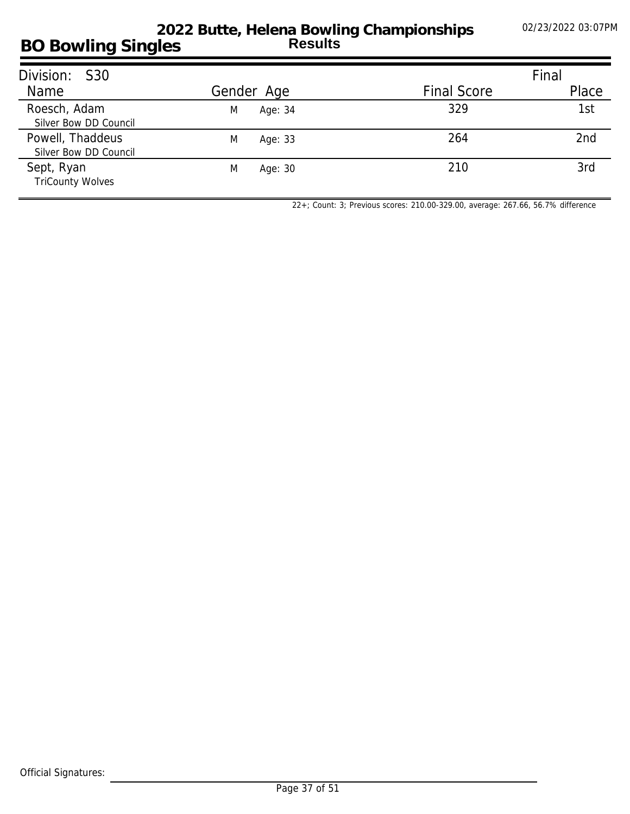#### **BO Bowling Singles 2022 Butte, Helena Bowling Championships Results**

| Division: S30                             |              |                    | Final |
|-------------------------------------------|--------------|--------------------|-------|
| Name                                      | Gender Age   | <b>Final Score</b> | Place |
| Roesch, Adam<br>Silver Bow DD Council     | Age: 34<br>M | 329                | 1st   |
| Powell, Thaddeus<br>Silver Bow DD Council | M<br>Age: 33 | 264                | 2nd   |
| Sept, Ryan<br><b>TriCounty Wolves</b>     | M<br>Age: 30 | 210                | 3rd   |

*22+; Count: 3; Previous scores: 210.00-329.00, average: 267.66, 56.7% difference*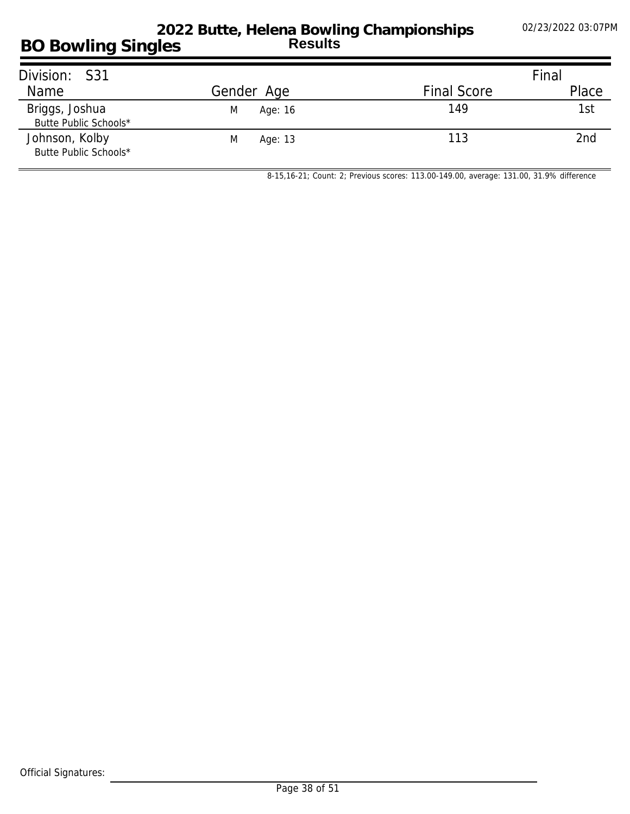| Division: S31                           |              |                    | Final |
|-----------------------------------------|--------------|--------------------|-------|
| Name                                    | Gender Age   | <b>Final Score</b> | Place |
| Briggs, Joshua<br>Butte Public Schools* | Age: 16<br>M | 149                | 1st   |
| Johnson, Kolby<br>Butte Public Schools* | M<br>Age: 13 | 113                | 2nd   |

*8-15,16-21; Count: 2; Previous scores: 113.00-149.00, average: 131.00, 31.9% difference*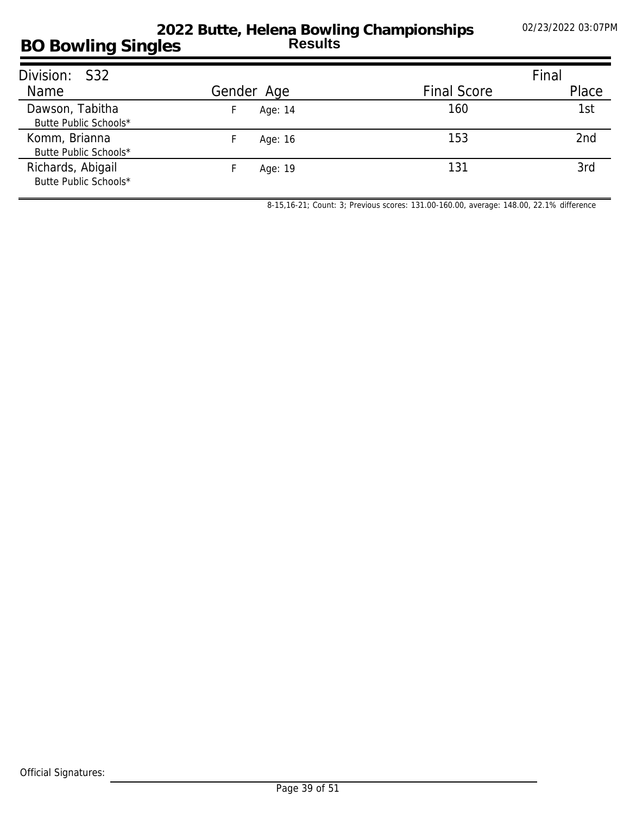#### **BO Bowling Singles 2022 Butte, Helena Bowling Championships Results**

| Division: S32                              |            |                    | Final |
|--------------------------------------------|------------|--------------------|-------|
| Name                                       | Gender Age | <b>Final Score</b> | Place |
| Dawson, Tabitha<br>Butte Public Schools*   | Age: 14    | 160                | 1st   |
| Komm, Brianna<br>Butte Public Schools*     | Age: 16    | 153                | 2nd   |
| Richards, Abigail<br>Butte Public Schools* | Age: 19    | 131                | 3rd   |

*8-15,16-21; Count: 3; Previous scores: 131.00-160.00, average: 148.00, 22.1% difference*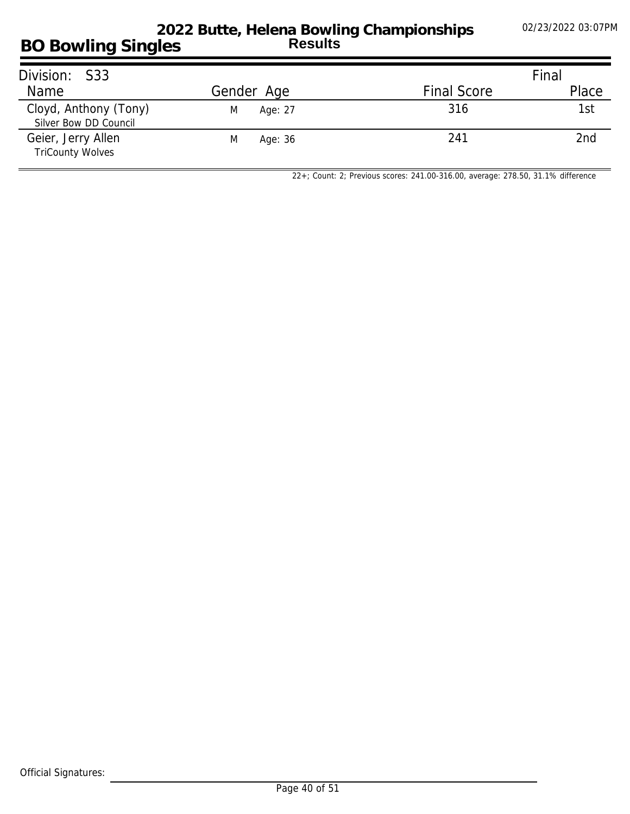## **BO Bowling Singles 2022 Butte, Helena Bowling Championships Results**

| Division: S33                                  |              |                    | Final |
|------------------------------------------------|--------------|--------------------|-------|
| Name                                           | Gender Age   | <b>Final Score</b> | Place |
| Cloyd, Anthony (Tony)<br>Silver Bow DD Council | M<br>Age: 27 | 316                | 1st   |
| Geier, Jerry Allen<br><b>TriCounty Wolves</b>  | Age: 36<br>M | 241                | 2nd   |

*22+; Count: 2; Previous scores: 241.00-316.00, average: 278.50, 31.1% difference*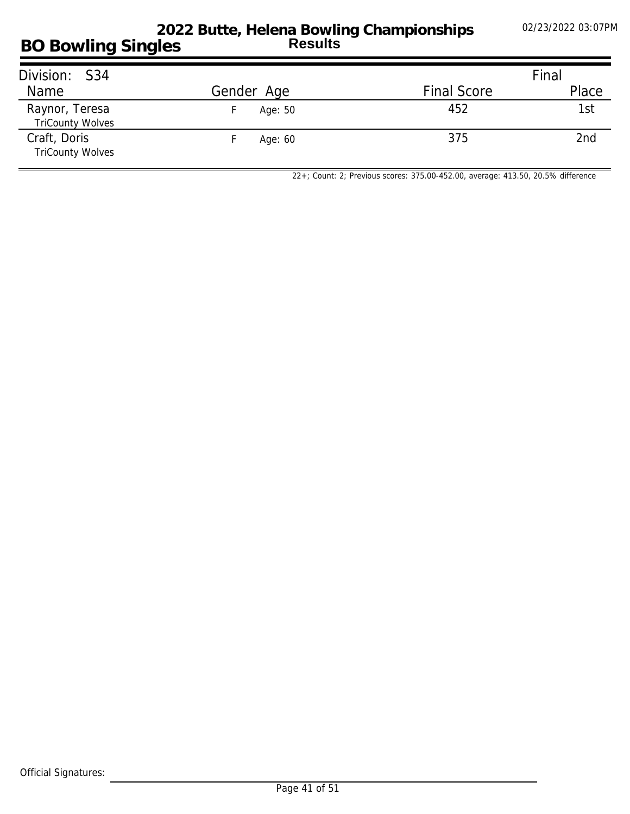#### **BO Bowling Singles 2022 Butte, Helena Bowling Championships Results**

| Division: S34                             |            |                    | Final |
|-------------------------------------------|------------|--------------------|-------|
| Name                                      | Gender Age | <b>Final Score</b> | Place |
| Raynor, Teresa<br><b>TriCounty Wolves</b> | Age: 50    | 452                | 1st   |
| Craft, Doris<br><b>TriCounty Wolves</b>   | Age: 60    | 375                | 2nd   |

*22+; Count: 2; Previous scores: 375.00-452.00, average: 413.50, 20.5% difference*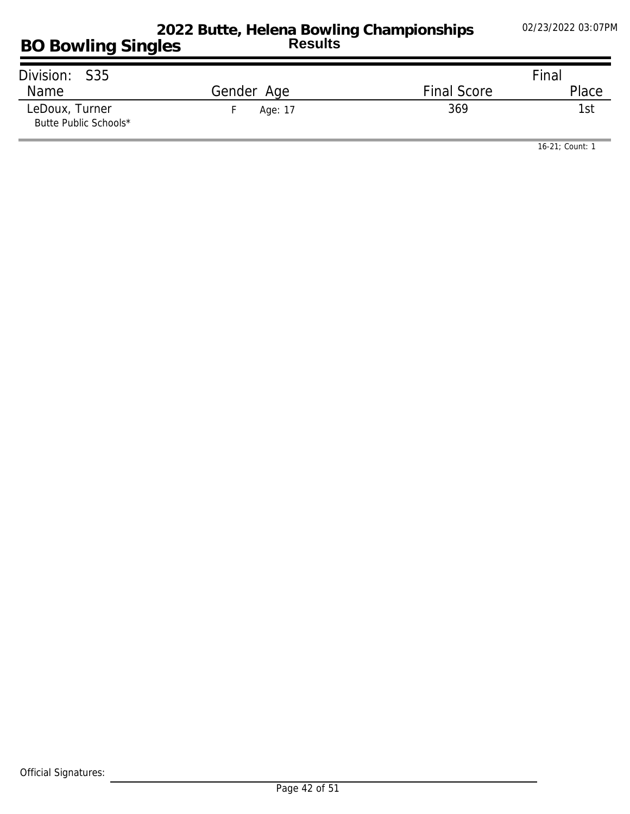| Division: S35                           |            |                    | Final |
|-----------------------------------------|------------|--------------------|-------|
| Name                                    | Gender Age | <b>Final Score</b> | Place |
| LeDoux, Turner<br>Butte Public Schools* | Age: 17    | 369                | 1st.  |

*16-21; Count: 1*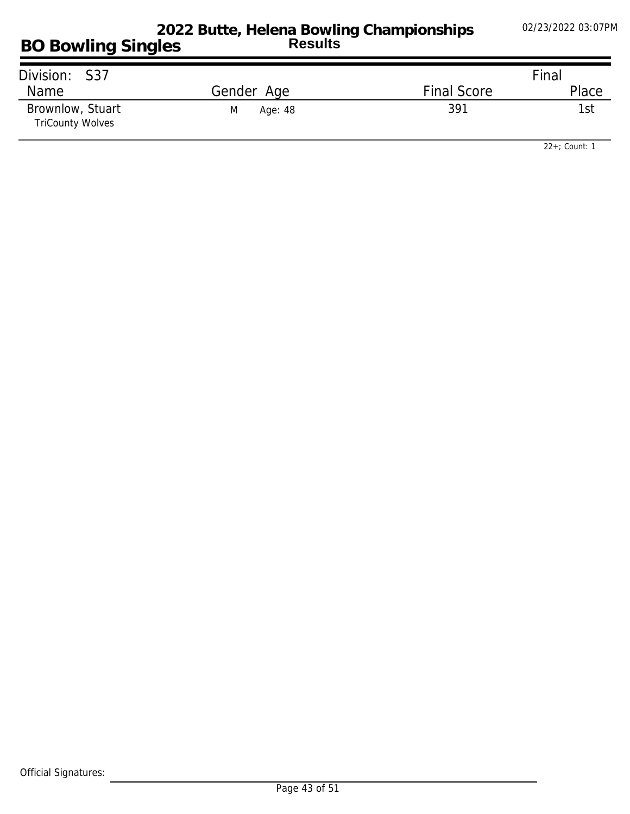| Division: S37                               |              |                    | Final |
|---------------------------------------------|--------------|--------------------|-------|
| Name                                        | Gender Age   | <b>Final Score</b> | Place |
| Brownlow, Stuart<br><b>TriCounty Wolves</b> | M<br>Age: 48 | 391                | 1st   |

*22+; Count: 1*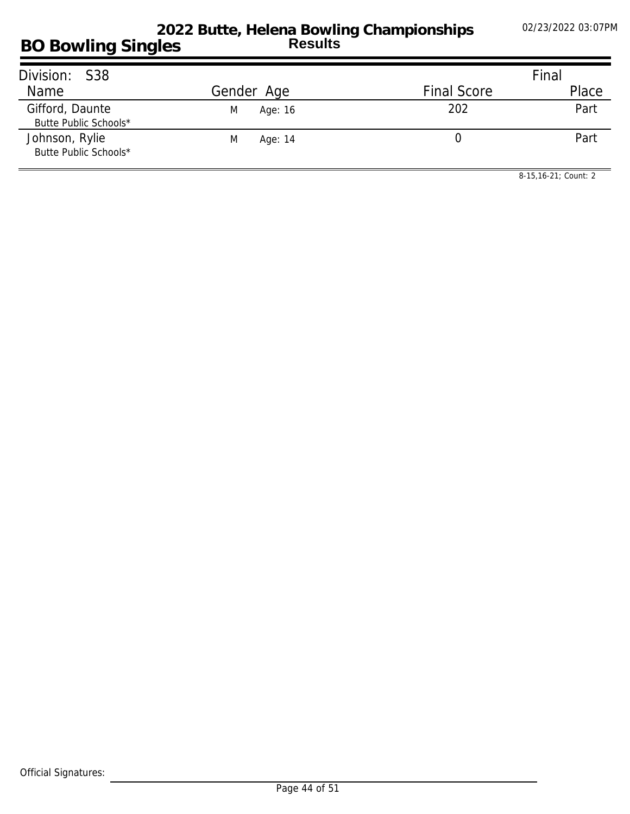| Division: S38                            |              |                    | Final |
|------------------------------------------|--------------|--------------------|-------|
| Name                                     | Gender Age   | <b>Final Score</b> | Place |
| Gifford, Daunte<br>Butte Public Schools* | Age: 16<br>M | 202                | Part  |
| Johnson, Rylie<br>Butte Public Schools*  | M<br>Age: 14 |                    | Part  |

*8-15,16-21; Count: 2*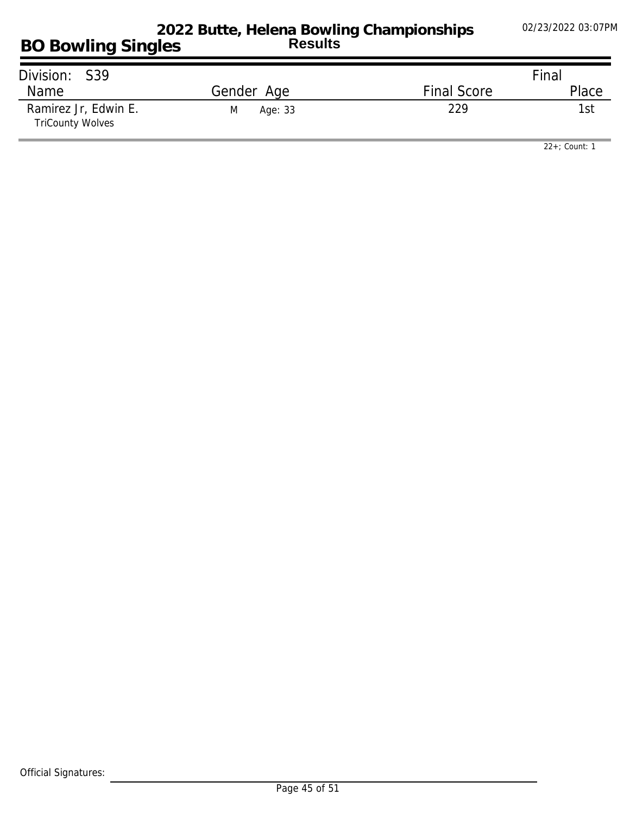| Division: S39                                   |              |                    | Final |
|-------------------------------------------------|--------------|--------------------|-------|
| Name                                            | Gender Age   | <b>Final Score</b> | Place |
| Ramirez Jr, Edwin E.<br><b>TriCounty Wolves</b> | Age: 33<br>M | 229                | 1st   |

*22+; Count: 1*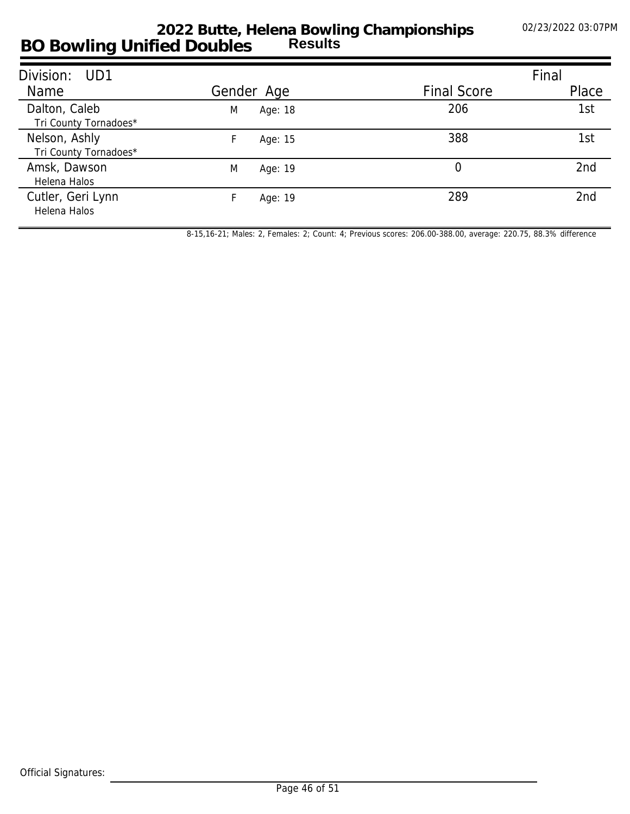## **BO Bowling Unified Doubles 2022 Butte, Helena Bowling Championships Results**

| Division: UD1                          |              |                    | Final |
|----------------------------------------|--------------|--------------------|-------|
| Name                                   | Gender Age   | <b>Final Score</b> | Place |
| Dalton, Caleb<br>Tri County Tornadoes* | M<br>Age: 18 | 206                | 1st   |
| Nelson, Ashly<br>Tri County Tornadoes* | Age: 15      | 388                | 1st   |
| Amsk, Dawson<br>Helena Halos           | M<br>Age: 19 | 0                  | 2nd   |
| Cutler, Geri Lynn<br>Helena Halos      | Age: 19      | 289                | 2nd   |

*8-15,16-21; Males: 2, Females: 2; Count: 4; Previous scores: 206.00-388.00, average: 220.75, 88.3% difference*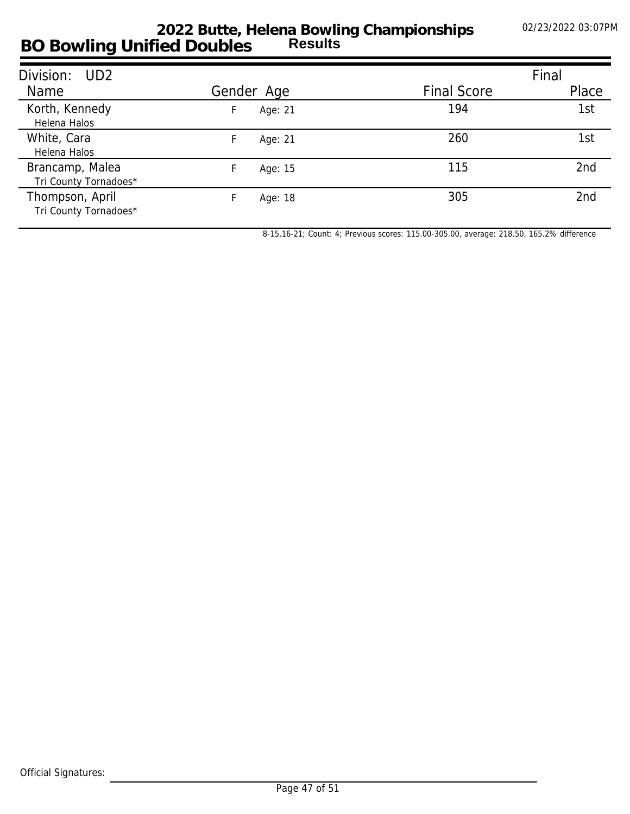### **BO Bowling Unified Doubles 2022 Butte, Helena Bowling Championships Results**

| Division: UD2                            |               |                    | Final |
|------------------------------------------|---------------|--------------------|-------|
| Name                                     | Gender Age    | <b>Final Score</b> | Place |
| Korth, Kennedy<br>Helena Halos           | Age: 21<br>H. | 194                | 1st   |
| White, Cara<br>Helena Halos              | Age: 21       | 260                | 1st   |
| Brancamp, Malea<br>Tri County Tornadoes* | Age: 15       | 115                | 2nd   |
| Thompson, April<br>Tri County Tornadoes* | Age: 18       | 305                | 2nd   |

*8-15,16-21; Count: 4; Previous scores: 115.00-305.00, average: 218.50, 165.2% difference*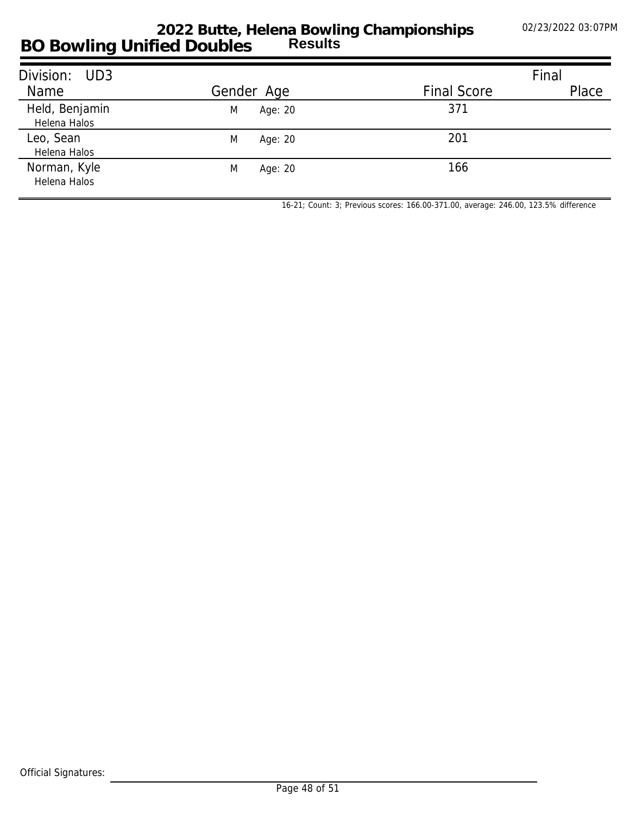### **BO Bowling Unified Doubles 2022 Butte, Helena Bowling Championships Results**

| Division: UD3                  |              |                    | Final |
|--------------------------------|--------------|--------------------|-------|
| Name                           | Gender Age   | <b>Final Score</b> | Place |
| Held, Benjamin<br>Helena Halos | Age: 20<br>M | 371                |       |
| Leo, Sean<br>Helena Halos      | M<br>Age: 20 | 201                |       |
| Norman, Kyle<br>Helena Halos   | M<br>Age: 20 | 166                |       |

*16-21; Count: 3; Previous scores: 166.00-371.00, average: 246.00, 123.5% difference*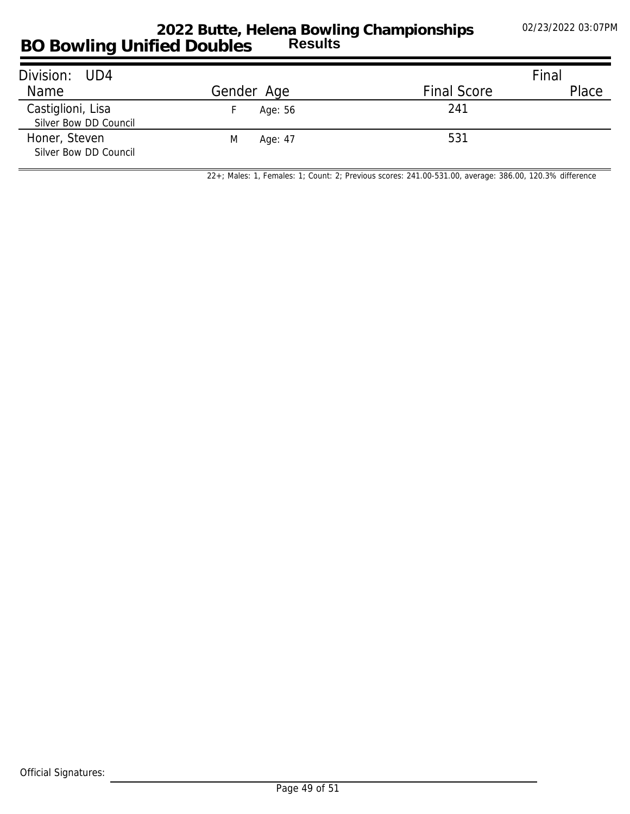#### **BO Bowling Unified Doubles 2022 Butte, Helena Bowling Championships Results**

| Division: UD4                              |              |                    | Final |
|--------------------------------------------|--------------|--------------------|-------|
| Name                                       | Gender Age   | <b>Final Score</b> | Place |
| Castiglioni, Lisa<br>Silver Bow DD Council | Age: 56      | 241                |       |
| Honer, Steven<br>Silver Bow DD Council     | M<br>Age: 47 | 531                |       |

*22+; Males: 1, Females: 1; Count: 2; Previous scores: 241.00-531.00, average: 386.00, 120.3% difference*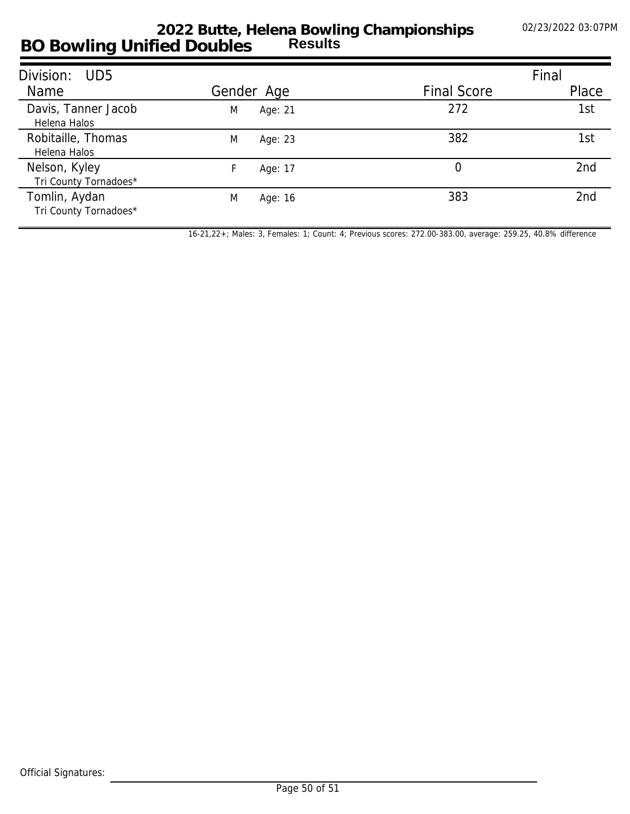## **BO Bowling Unified Doubles 2022 Butte, Helena Bowling Championships Results**

| Division:<br>UD5                       |              |                    | Final           |
|----------------------------------------|--------------|--------------------|-----------------|
| Name                                   | Gender Age   | <b>Final Score</b> | Place           |
| Davis, Tanner Jacob<br>Helena Halos    | Age: 21<br>M | 272                | 1st             |
| Robitaille, Thomas<br>Helena Halos     | M<br>Age: 23 | 382                | 1st             |
| Nelson, Kyley<br>Tri County Tornadoes* | Age: 17      | 0                  | 2 <sub>nd</sub> |
| Tomlin, Aydan<br>Tri County Tornadoes* | M<br>Age: 16 | 383                | 2nd             |

*16-21,22+; Males: 3, Females: 1; Count: 4; Previous scores: 272.00-383.00, average: 259.25, 40.8% difference*